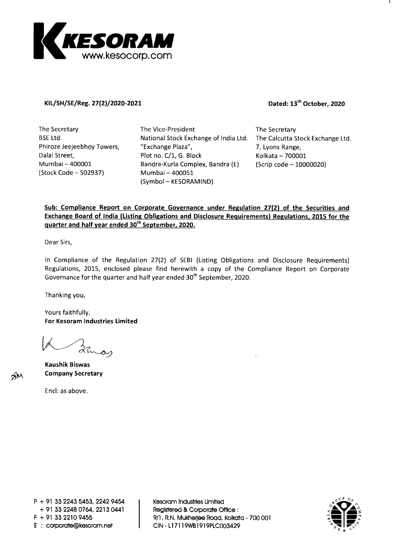

#### KIL/SH/SE/Reg. 27(2)/2020-2021 **Dated: 13<sup>th</sup> October, 2020**

**The Secretary BSE Ltd. Phiroze Jeejeebhoy Towers, Dalal Street, Mumbai — 400001 (Stock Code — 502937)** 

**The Vice-President National Stock Exchange of India Ltd. "Exchange Plaza", Plot no. C/1, G. Block Bandra-Kurla Complex, Bandra (E) Mumbai — 400051 (Symbol — KESORAMIND)** 

**The Secretary The Calcutta Stock Exchange Ltd. 7, Lyons Range, Kolkata — 700001 (Scrip code — 10000020)** 

# **Sub: Compliance Report on Corporate Governance under Regulation 27(2) of the Securities and Exchange Board of India (Listing Obligations and Disclosure Requirements) Regulations, 2015 for the quarter and half year ended 30th September, 2020.**

**Dear Sirs,** 

**In Compliance of the Regulation 27(2) of SEBI (Listing Obligations and Disclosure Requirements) Regulations, 2015, enclosed please find herewith a copy of the Compliance Report on Corporate Governance for the quarter and half year ended 30th September, 2020.** 

**Thanking you,** 

**Yours faithfully, For Kesoram Industries Limited** 

**Kaushik Biswas Company Secretary** 

**7gtj\** 

**Encl: as above.** 

**P + 91 33 2243 5453, 2242 9454 + 91 33 2248 0764, 2213 0441 F + 91 33 2210 9455 E corporate@kesoram.net** 

**Kesoram Industries Limited Registered & Corporate Office 9/1, R.N. Mukherjee Road, Kolkata - 700 001 CIN - L17119WB1919PLC003429** 

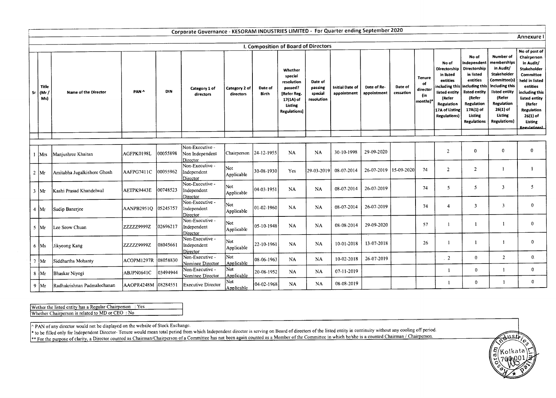|    | Corporate Governance - KESORAM INDUSTRIES LIMITED - For Quarter ending September 2020 |                             |                     |           |                                                |                            |                  |                                                                                                            |                                             |                                       |                            |                      |                                                    |                                                                                                                                                                          |                                                                                                                                                             |                                                                                                                                                                                 |                                                                                                                                                                                                                                    |
|----|---------------------------------------------------------------------------------------|-----------------------------|---------------------|-----------|------------------------------------------------|----------------------------|------------------|------------------------------------------------------------------------------------------------------------|---------------------------------------------|---------------------------------------|----------------------------|----------------------|----------------------------------------------------|--------------------------------------------------------------------------------------------------------------------------------------------------------------------------|-------------------------------------------------------------------------------------------------------------------------------------------------------------|---------------------------------------------------------------------------------------------------------------------------------------------------------------------------------|------------------------------------------------------------------------------------------------------------------------------------------------------------------------------------------------------------------------------------|
|    | <b>Annexure</b>                                                                       |                             |                     |           |                                                |                            |                  |                                                                                                            |                                             |                                       |                            |                      |                                                    |                                                                                                                                                                          |                                                                                                                                                             |                                                                                                                                                                                 |                                                                                                                                                                                                                                    |
|    |                                                                                       |                             |                     |           |                                                |                            |                  | I. Composition of Board of Directors                                                                       |                                             |                                       |                            |                      |                                                    |                                                                                                                                                                          |                                                                                                                                                             |                                                                                                                                                                                 |                                                                                                                                                                                                                                    |
| Sr | Title<br>(Mr.<br>Ms)                                                                  | <b>Name of the Director</b> | PAN ^               | DIN       | Category 1 of<br>directors                     | Category 2 of<br>directors | Date of<br>Birth | Whether<br>special<br>resolution<br>passed?<br>[Refer Reg.<br>17(1A) of<br>Listing<br><b>Regulations</b> ] | Date of<br>passing<br>special<br>resolution | <b>Initial Date of</b><br>appointment | Date of Re-<br>appointment | Date of<br>cessation | <b>Tenure</b><br>of<br>director<br>(in<br>months)* | No of<br>Directorship<br>in listed<br>entities<br>including this including this<br>listed entity<br>(Refer<br><b>Regulation</b><br>17A of Listing<br><b>Regulations)</b> | No of<br>Independent<br>Directorship<br>in listed<br>entities<br>listed entity<br>(Refer<br>Regulation<br>17A(1) of<br><b>Listing</b><br><b>Regulations</b> | Number of<br>memberships<br>in Audit/<br>Stakeholder<br>Committee(s)<br>including this<br>listed entity<br>(Refer<br>Regulation<br>$26(1)$ of<br>Listing<br><b>Regulations)</b> | No of post of<br>Chairperson<br>in Audit/<br>Stakeholder<br><b>Committee</b><br>held in listed<br>entities<br>including this<br>listed entity<br>(Refer<br><b>Regulation</b><br>$26(1)$ of<br><b>Listing</b><br><b>Regulations</b> |
|    |                                                                                       |                             |                     |           |                                                |                            |                  |                                                                                                            |                                             |                                       |                            |                      |                                                    |                                                                                                                                                                          |                                                                                                                                                             |                                                                                                                                                                                 |                                                                                                                                                                                                                                    |
|    | 1 Mrs                                                                                 | Manjushree Khaitan          | AGFPK0198L          | 00055898  | Non-Executive -<br>Non Independent<br>Director | Chairperson 24-12-1955     |                  | <b>NA</b>                                                                                                  | <b>NA</b>                                   | 30-10-1998                            | 29-09-2020                 |                      |                                                    | $\overline{2}$                                                                                                                                                           | $\bf{0}$                                                                                                                                                    | $\mathbf{0}$                                                                                                                                                                    | $\mathbf{0}$                                                                                                                                                                                                                       |
|    | $2 \mid Mr$                                                                           | Amitabha Jugalkishore Ghosh | AAFPG7411C          | 100055962 | Non-Executive -<br>Independent<br>Director     | Not<br>Applicable          | 30-08-1930       | Yes                                                                                                        | 29-03-2019                                  | 08-07-2014                            | 26-07-2019                 | 15-09-2020           | 74                                                 | $\overline{2}$                                                                                                                                                           | $\overline{2}$                                                                                                                                              | $\mathbf{1}$                                                                                                                                                                    | 1                                                                                                                                                                                                                                  |
|    | $3 \mid Mr$                                                                           | Kashi Prasad Khandelwal     | AETPK9443E          | 00748523  | Non-Executive -<br>Independent<br>Director     | Not<br>Applicable          | 04-03-1951       | NA                                                                                                         | <b>NA</b>                                   | 08-07-2014                            | 26-07-2019                 |                      | 74                                                 | 5                                                                                                                                                                        | 5                                                                                                                                                           | $\overline{\mathbf{3}}$                                                                                                                                                         | $\overline{5}$                                                                                                                                                                                                                     |
|    | $4 \mathrm{M}$                                                                        | Sudip Banerjee              | AANPB2951Q          | 05245757  | Non-Executive -<br>Independent<br>Director     | Not<br>Applicable          | 01-02-1960       | <b>NA</b>                                                                                                  | <b>NA</b>                                   | 08-07-2014                            | 26-07-2019                 |                      | 74                                                 | $\overline{4}$                                                                                                                                                           | $\overline{\mathbf{3}}$                                                                                                                                     | $\overline{3}$                                                                                                                                                                  | $\mathbf{0}$                                                                                                                                                                                                                       |
|    | $5$ Mr                                                                                | Lee Seow Chuan              | ZZZZZ9999Z          | 02696217  | Non-Executive -<br>Independent<br>Director     | Not<br>Applicable          | 05-10-1948       | NA                                                                                                         | <b>NA</b>                                   | 08-08-2014                            | 29-09-2020                 |                      | 57                                                 |                                                                                                                                                                          | $\mathbf{1}$                                                                                                                                                | $\mathbf{1}$                                                                                                                                                                    | $\mathbf{0}$                                                                                                                                                                                                                       |
|    | $6 \, \text{Ms}$                                                                      | Jikyeong Kang               | ZZZZZ9999Z          | 08045661  | Non-Executive -<br>Independent<br>Director     | Not<br>Applicable          | 22-10-1961       | <b>NA</b>                                                                                                  | <b>NA</b>                                   | 10-01-2018                            | 13-07-2018                 |                      | 26                                                 |                                                                                                                                                                          |                                                                                                                                                             | $\mathbf{1}$                                                                                                                                                                    | $\Omega$                                                                                                                                                                                                                           |
|    | $7 \vert Mr$                                                                          | Siddhartha Mohanty          | ACOPM1297R          | 08058830  | Non-Executive -<br>Nominee Director            | Not<br>Applicable          | 08-06-1963       | NA                                                                                                         | <b>NA</b>                                   | 10-02-2018                            | 26-07-2019                 |                      |                                                    | $\overline{2}$                                                                                                                                                           | $\mathbf{0}$                                                                                                                                                | $\overline{2}$                                                                                                                                                                  | $\mathbf{0}$ .                                                                                                                                                                                                                     |
|    | $8 \mathrm{M}$ r                                                                      | Bhaskar Niyogi              | ABJPN0641C          | 03494944  | Non-Executive -<br>Nominee Director            | Not<br>Applicable          | 20-08-1952       | NA                                                                                                         | NA.                                         | 07-11-2019                            |                            |                      |                                                    |                                                                                                                                                                          | $\bf{0}$                                                                                                                                                    |                                                                                                                                                                                 | $\mathbf{0}$                                                                                                                                                                                                                       |
|    | 9 $Mr$                                                                                | Radhakrishnan Padmalochanan | AAOPR4248M 08284551 |           | <b>Executive Director</b>                      | Not<br>Applicable          | 04-02-1968       | NA                                                                                                         | <b>NA</b>                                   | 08-08-2019                            |                            |                      |                                                    |                                                                                                                                                                          | $\theta$                                                                                                                                                    |                                                                                                                                                                                 | $\mathbf{0}$                                                                                                                                                                                                                       |

Wether the listed entity has a Regular Chairperson : Yes Whether Chairperson is related to MD or CEO: No

^ PAN of any director would not be displayed on the website of Stock Exchange.

\* to be filled only for Independent Director- Tenure would mean total period from which Independent director is serving on Board of directors of the listed entity in continuity without any cooling off period. For the purpose of clarity, a Director counted as Chairman/Chairperson of a Committee has not been again counted as a Member of the Committee in which he/she is a counted Chairman / Chairperson.

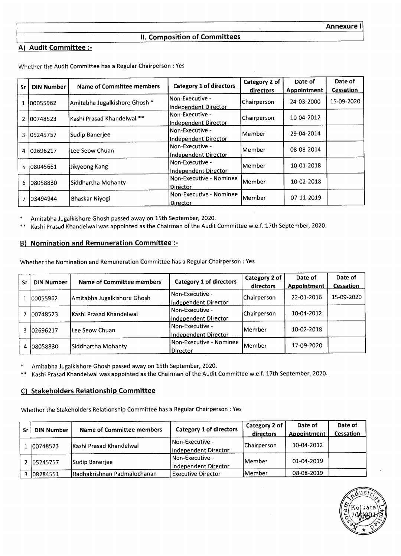# **II. Composition of Committees**

# **A) Audit Committee :-**

|           |                   | Name of Committee members     | Category 1 of directors     | Category 2 of | Date of     | Date of    |
|-----------|-------------------|-------------------------------|-----------------------------|---------------|-------------|------------|
| <b>Sr</b> | <b>DIN Number</b> |                               |                             | directors     | Appointment | Cessation  |
|           |                   | Amitabha Jugalkishore Ghosh * | Non-Executive -             | Chairperson   | 24-03-2000  | 15-09-2020 |
|           | 00055962          |                               | <b>Independent Director</b> |               |             |            |
|           |                   | İKashi Prasad Khandelwal **   | Non-Executive -             | Chairperson   | 10-04-2012  |            |
|           | 2 100748523       |                               | Independent Director        |               |             |            |
|           | 3 105245757       | Sudip Banerjee                | Non-Executive -             | Member        | 29-04-2014  |            |
|           |                   |                               | Independent Director        |               |             |            |
| 4         | 102696217         | Lee Seow Chuan                | Non-Executive -             | Member        | 08-08-2014  |            |
|           |                   |                               | Independent Director        |               |             |            |
| 5.        | 108045661         |                               | Non-Executive -             | lMember i     | 10-01-2018  |            |
|           |                   | Jikyeong Kang                 | Independent Director        |               |             |            |
| 6         | 08058830          | Siddhartha Mohanty            | Non-Executive - Nominee     | <b>Member</b> | 10-02-2018  |            |
|           |                   |                               | Director                    |               |             |            |
| 7         | 103494944         | Bhaskar Niyogi                | Non-Executive - Nominee     | Member        | 07-11-2019  |            |
|           |                   |                               | Director                    |               |             |            |

Whether the Audit Committee has a Regular Chairperson : Yes

Amitabha Jugalkishore Ghosh passed away on 15th September, 2020.

Kashi Prasad Khandelwal was appointed as the Chairman of the Audit Committee w.e.f. 17th September, 2020.

### B) **Nomination and Remuneration Committee** :-

Whether the Nomination and Remuneration Committee has a Regular Chairperson : Yes

| Sr | DIN Number | Name of Committee members   | Category 1 of directors                 | Category 2 of<br>directors | Date of<br>Appointment | Date of<br>Cessation |
|----|------------|-----------------------------|-----------------------------------------|----------------------------|------------------------|----------------------|
|    | 00055962   | Amitabha Jugalkishore Ghosh | Non-Executive -<br>Independent Director | Chairperson                | 22-01-2016             | 15-09-2020           |
| 2  | 00748523   | lKashi Prasad Khandelwal    | Non-Executive -<br>Independent Director | Chairperson                | 10-04-2012             |                      |
| 3. | 102696217  | Lee Seow Chuan              | Non-Executive -<br>Independent Director | lMember                    | 10-02-2018             |                      |
| 4  | 08058830   | Siddhartha Mohanty          | Non-Executive - Nominee<br>Director     | <b>IMember</b>             | 17-09-2020             |                      |

Amitabha Jugalkishore Ghosh passed away on 15th September, 2020.

Kashi Prasad Khandelwal was appointed as the Chairman of the Audit Committee w.e.f. 17th September, 2020.  $* *$ 

# C) **Stakeholders Relationship Committee**

Whether the Stakeholders Relationship Committee has a Regular Chairperson : Yes

| Sr | <b>DIN Number</b> | Name of Committee members     | Category 1 of directors                         | Category 2 of<br>directors | Date of<br>Appointment | Date of<br>Cessation |
|----|-------------------|-------------------------------|-------------------------------------------------|----------------------------|------------------------|----------------------|
|    | 100748523         | IKashi Prasad Khandelwal      | <b>INon-Executive -</b><br>Independent Director | Chairperson                | 10-04-2012             |                      |
|    | 2 05245757        | Sudip Banerjee                | Non-Executive -<br>Independent Director         | l Member                   | 01-04-2019             |                      |
|    | 108284551 ہ       | l Radhakrishnan Padmalochanan | Executive Director                              | lMember                    | 08-08-2019             |                      |

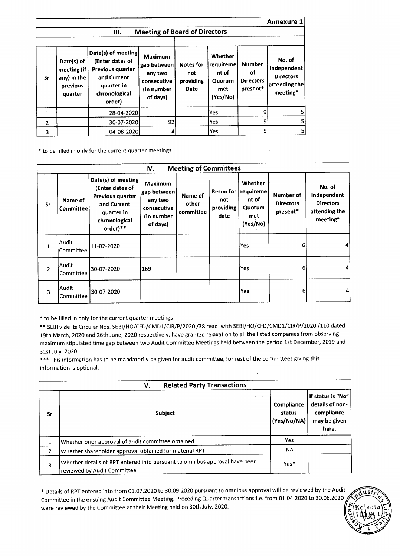|                |                                                                 |                                                                                                                          |                                                                                   |                                              |                                                            |                                                     | <b>Annexure 1</b>                                                      |
|----------------|-----------------------------------------------------------------|--------------------------------------------------------------------------------------------------------------------------|-----------------------------------------------------------------------------------|----------------------------------------------|------------------------------------------------------------|-----------------------------------------------------|------------------------------------------------------------------------|
|                |                                                                 | Ш.                                                                                                                       | <b>Meeting of Board of Directors</b>                                              |                                              |                                                            |                                                     |                                                                        |
| <b>Sr</b>      | Date(s) of<br>meeting (if<br>any) in the<br>previous<br>quarter | Date(s) of meeting<br>(Enter dates of<br><b>Previous quarter</b><br>and Current<br>quarter in<br>chronological<br>order) | <b>Maximum</b><br>gap between<br>any two<br>consecutive<br>(in number<br>of days) | <b>Notes for</b><br>not<br>providing<br>Date | Whether<br>requireme<br>nt of<br>Quorum<br>met<br>(Yes/No) | <b>Number</b><br>οf<br><b>Directors</b><br>present* | No. of<br>Independent<br><b>Directors</b><br>attending the<br>meeting* |
| 1              |                                                                 | 28-04-2020                                                                                                               |                                                                                   |                                              | lYes                                                       | 9                                                   | 5 <sub>l</sub>                                                         |
| $\overline{2}$ |                                                                 | 30-07-2020                                                                                                               | 92                                                                                |                                              | Yes                                                        | 9                                                   | $\mathsf{S}$                                                           |
| 3              |                                                                 | 04-08-2020                                                                                                               | 4                                                                                 |                                              | lYes                                                       | 9                                                   | $\mathsf{S}$                                                           |

\* to be filled in only for the current quarter meetings

|                |                           |                                                                                                                     | IV.                                                                                 | <b>Meeting of Committees</b>  |                                         |                                                                                                         |    |                                                                        |  |
|----------------|---------------------------|---------------------------------------------------------------------------------------------------------------------|-------------------------------------------------------------------------------------|-------------------------------|-----------------------------------------|---------------------------------------------------------------------------------------------------------|----|------------------------------------------------------------------------|--|
| Sr             | Name of<br>Committee      | Date(s) of meeting<br>(Enter dates of<br>Previous quarter<br>and Current<br>quarter in<br>chronological<br>order)** | <b>Maximum</b><br> gap between <br>any two<br>consecutive<br>(in number<br>of days) | Name of<br>other<br>committee | Reson for  <br>not<br>providing<br>date | Whether<br>requireme<br>Number of<br>nt of<br><b>Directors</b><br>Quorum<br>present*<br>met<br>(Yes/No) |    | No. of<br>Independent<br><b>Directors</b><br>attending the<br>meeting* |  |
| 1              | Audit<br>Committee        | 11-02-2020                                                                                                          |                                                                                     |                               |                                         | Yes                                                                                                     | 6  | 41                                                                     |  |
| $\overline{2}$ | Audit<br>Committee        | 30-07-2020                                                                                                          | 169                                                                                 |                               |                                         | Yes                                                                                                     | 6  | 4                                                                      |  |
| 3              | <b>Audit</b><br>Committee | 30-07-2020                                                                                                          |                                                                                     |                               |                                         | Yes                                                                                                     | 61 | 4                                                                      |  |

\* to be filled in only for the current quarter meetings

\*\* SEBI vide its Circular Nos. SEBI/HO/CFD/CMD1/CIR/P/2020 /38 read with SEBI/HO/CFD/CMD1/CIR/P/2020 /110 dated 19th March, 2020 and 26th June, 2020 respectively, have granted relaxation to all the listed companies from observing maximum stipulated time gap between two Audit Committee Meetings held between the period 1st December, 2019 and 31st July, 2020.

\*\*\* This information has to be mandatorily be given for audit committee, for rest of the committees giving this information is optional.

|                | <b>Related Party Transactions</b><br>V.                                                                   |                                     |                                                                             |
|----------------|-----------------------------------------------------------------------------------------------------------|-------------------------------------|-----------------------------------------------------------------------------|
| Sr             | Subject                                                                                                   | Compliance<br>status<br>(Yes/No/NA) | If status is "No"<br>details of non-<br>compliance<br>may be given<br>here. |
|                | Whether prior approval of audit committee obtained                                                        | <b>Yes</b>                          |                                                                             |
| $\overline{2}$ | Whether shareholder approval obtained for material RPT                                                    | <b>NA</b>                           |                                                                             |
| 3              | Whether details of RPT entered into pursuant to omnibus approval have been<br>reviewed by Audit Committee | Yes*                                |                                                                             |

\* Details of RPT entered into from 01.07.2020 to 30.09.2020 pursuant to omnibus approval will be reviewed by the Audit Committee in the ensuing Audit Committee Meeting. Preceding Quarter transactions i.e. from 01.04.2020 to 30.06.2020 were reviewed by the Committee at their Meeting held on 30th July, 2020.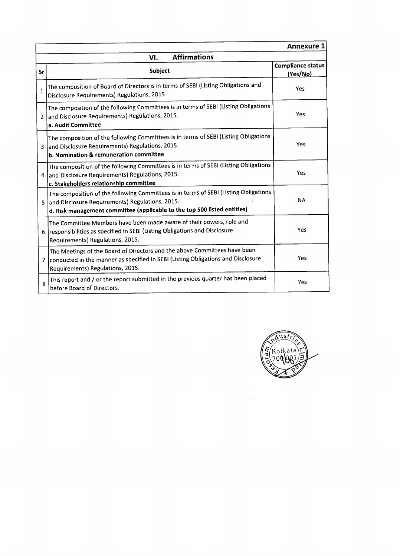|                | <b>Annexure 1</b>                                                                                                                                                                                                     |                                      |  |  |  |  |  |
|----------------|-----------------------------------------------------------------------------------------------------------------------------------------------------------------------------------------------------------------------|--------------------------------------|--|--|--|--|--|
|                | <b>Affirmations</b><br>VI.                                                                                                                                                                                            |                                      |  |  |  |  |  |
| Sr             | Subject                                                                                                                                                                                                               | <b>Compliance status</b><br>(Yes/No) |  |  |  |  |  |
| $\mathbf{1}$   | The composition of Board of Directors is in terms of SEBI (Listing Obligations and<br>Disclosure Requirements) Regulations, 2015                                                                                      | Yes                                  |  |  |  |  |  |
| $\overline{2}$ | The composition of the following Committees is in terms of SEBI (Listing Obligations<br>and Disclosure Requirements) Regulations, 2015.<br>a. Audit Committee                                                         | Yes                                  |  |  |  |  |  |
| 3              | The composition of the following Committees is in terms of SEBI (Listing Obligations<br>and Disclosure Requirements) Regulations, 2015.<br>b. Nomination & remuneration committee                                     | Yes                                  |  |  |  |  |  |
|                | The composition of the following Committees is in terms of SEBI (Listing Obligations<br>4 and Disclosure Requirements) Regulations, 2015.<br>c. Stakeholders relationship committee                                   | Yes                                  |  |  |  |  |  |
|                | The composition of the following Committees is in terms of SEBI (Listing Obligations<br>5 and Disclosure Requirements) Regulations, 2015.<br>d. Risk management committee (applicable to the top 500 listed entities) | <b>NA</b>                            |  |  |  |  |  |
|                | The Committee Members have been made aware of their powers, role and<br>6   responsibilities as specified in SEBI (Listing Obligations and Disclosure<br>Requirements) Regulations, 2015.                             | Yes                                  |  |  |  |  |  |
| $\overline{7}$ | The Meetings of the Board of Directors and the above Committees have been<br>conducted in the manner as specified in SEBI (Listing Obligations and Disclosure<br>Requirements) Regulations, 2015.                     | Yes                                  |  |  |  |  |  |
| 8              | This report and / or the report submitted in the previous quarter has been placed<br>before Board of Directors.                                                                                                       | Yes                                  |  |  |  |  |  |



 $\frac{d\mu}{d\tau}$